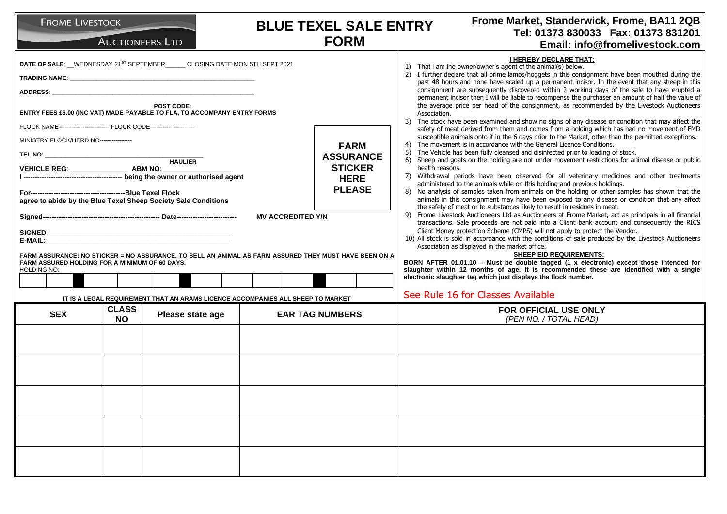| <b>FROME LIVESTOCK</b><br><b>AUCTIONEERS LTD</b>                                                                                                                                                                                                                                                                                          | <b>BLUE TEXEL SALE ENTRY</b><br><b>FORM</b>                                                                   | Frome Market, Standerwick, Frome, BA11 2QB<br>Tel: 01373 830033  Fax: 01373 831201<br>Email: info@fromelivestock.com                                                                                                                                                                                                                                                                                                                                                                                                                                                                                                                                                                                                                                                                                                                                                                                                                                                                                                                                                                                                                                                                                                                                                                                                                                                                                                                        |
|-------------------------------------------------------------------------------------------------------------------------------------------------------------------------------------------------------------------------------------------------------------------------------------------------------------------------------------------|---------------------------------------------------------------------------------------------------------------|---------------------------------------------------------------------------------------------------------------------------------------------------------------------------------------------------------------------------------------------------------------------------------------------------------------------------------------------------------------------------------------------------------------------------------------------------------------------------------------------------------------------------------------------------------------------------------------------------------------------------------------------------------------------------------------------------------------------------------------------------------------------------------------------------------------------------------------------------------------------------------------------------------------------------------------------------------------------------------------------------------------------------------------------------------------------------------------------------------------------------------------------------------------------------------------------------------------------------------------------------------------------------------------------------------------------------------------------------------------------------------------------------------------------------------------------|
| DATE OF SALE: WEDNESDAY 21 <sup>ST</sup> SEPTEMBER CLOSING DATE MON 5TH SEPT 2021<br><b>POST CODE:</b><br>ENTRY FEES £6.00 (INC VAT) MADE PAYABLE TO FLA, TO ACCOMPANY ENTRY FORMS<br>FLOCK NAME------------------------- FLOCK CODE---------------------                                                                                 |                                                                                                               | <b>I HEREBY DECLARE THAT:</b><br>1) That I am the owner/owner's agent of the animal(s) below.<br>2) I further declare that all prime lambs/hoggets in this consignment have been mouthed during the<br>past 48 hours and none have scaled up a permanent incisor. In the event that any sheep in this<br>consignment are subsequently discovered within 2 working days of the sale to have erupted a<br>permanent incisor then I will be liable to recompense the purchaser an amount of half the value of<br>the average price per head of the consignment, as recommended by the Livestock Auctioneers<br>Association.<br>3) The stock have been examined and show no signs of any disease or condition that may affect the<br>safety of meat derived from them and comes from a holding which has had no movement of FMD                                                                                                                                                                                                                                                                                                                                                                                                                                                                                                                                                                                                                 |
| MINISTRY FLOCK/HERD NO----------------<br><b>HAULIER</b><br>VEHICLE REG: ________________________ ABM NO:___<br>agree to abide by the Blue Texel Sheep Society Sale Conditions<br>FARM ASSURANCE: NO STICKER = NO ASSURANCE. TO SELL AN ANIMAL AS FARM ASSURED THEY MUST HAVE BEEN ON A<br>FARM ASSURED HOLDING FOR A MINIMUM OF 60 DAYS. | <b>FARM</b><br><b>ASSURANCE</b><br><b>STICKER</b><br><b>HERE</b><br><b>PLEASE</b><br><b>MV ACCREDITED Y/N</b> | susceptible animals onto it in the 6 days prior to the Market, other than the permitted exceptions.<br>The movement is in accordance with the General Licence Conditions.<br>4)<br>5)<br>The Vehicle has been fully cleansed and disinfected prior to loading of stock.<br>6) Sheep and goats on the holding are not under movement restrictions for animal disease or public<br>health reasons.<br>7) Withdrawal periods have been observed for all veterinary medicines and other treatments<br>administered to the animals while on this holding and previous holdings.<br>8) No analysis of samples taken from animals on the holding or other samples has shown that the<br>animals in this consignment may have been exposed to any disease or condition that any affect<br>the safety of meat or to substances likely to result in residues in meat.<br>9) Frome Livestock Auctioneers Ltd as Auctioneers at Frome Market, act as principals in all financial<br>transactions. Sale proceeds are not paid into a Client bank account and consequently the RICS<br>Client Money protection Scheme (CMPS) will not apply to protect the Vendor.<br>10) All stock is sold in accordance with the conditions of sale produced by the Livestock Auctioneers<br>Association as displayed in the market office.<br><b>SHEEP EID REQUIREMENTS:</b><br>BORN AFTER 01.01.10 - Must be double tagged (1 x electronic) except those intended for |
| HOLDING NO:<br>IT IS A LEGAL REQUIREMENT THAT AN ARAMS LICENCE ACCOMPANIES ALL SHEEP TO MARKET                                                                                                                                                                                                                                            |                                                                                                               | slaughter within 12 months of age. It is recommended these are identified with a single<br>electronic slaughter tag which just displays the flock number.<br>See Rule 16 for Classes Available                                                                                                                                                                                                                                                                                                                                                                                                                                                                                                                                                                                                                                                                                                                                                                                                                                                                                                                                                                                                                                                                                                                                                                                                                                              |
| <b>CLASS</b><br><b>SEX</b><br>Please state age<br><b>NO</b>                                                                                                                                                                                                                                                                               | <b>EAR TAG NUMBERS</b>                                                                                        | FOR OFFICIAL USE ONLY<br>(PEN NO. / TOTAL HEAD)                                                                                                                                                                                                                                                                                                                                                                                                                                                                                                                                                                                                                                                                                                                                                                                                                                                                                                                                                                                                                                                                                                                                                                                                                                                                                                                                                                                             |
|                                                                                                                                                                                                                                                                                                                                           |                                                                                                               |                                                                                                                                                                                                                                                                                                                                                                                                                                                                                                                                                                                                                                                                                                                                                                                                                                                                                                                                                                                                                                                                                                                                                                                                                                                                                                                                                                                                                                             |
|                                                                                                                                                                                                                                                                                                                                           |                                                                                                               |                                                                                                                                                                                                                                                                                                                                                                                                                                                                                                                                                                                                                                                                                                                                                                                                                                                                                                                                                                                                                                                                                                                                                                                                                                                                                                                                                                                                                                             |
|                                                                                                                                                                                                                                                                                                                                           |                                                                                                               |                                                                                                                                                                                                                                                                                                                                                                                                                                                                                                                                                                                                                                                                                                                                                                                                                                                                                                                                                                                                                                                                                                                                                                                                                                                                                                                                                                                                                                             |